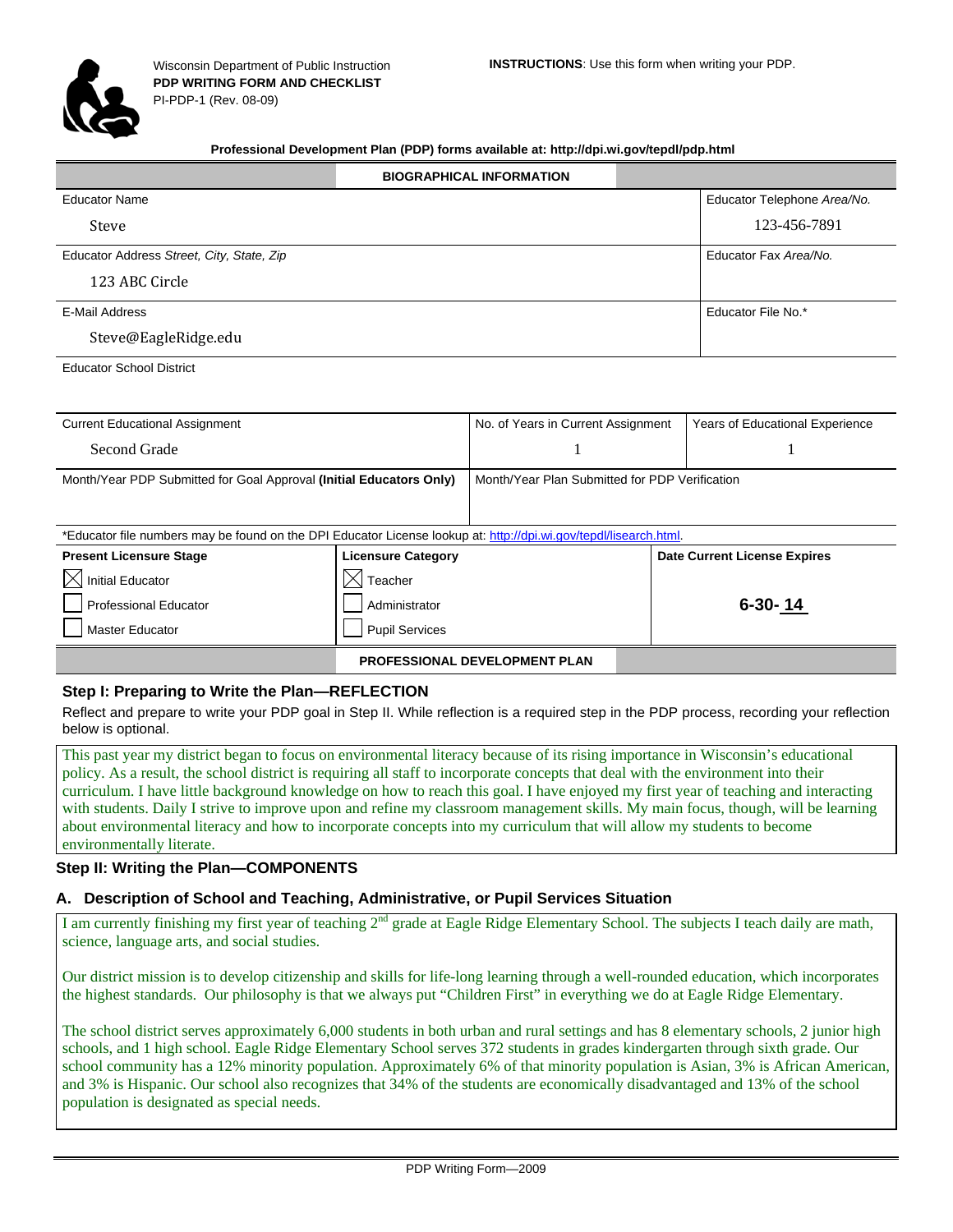

#### **Professional Development Plan (PDP) forms available at: http://dpi.wi.gov/tepdl/pdp.html**

|                                           | <b>BIOGRAPHICAL INFORMATION</b> |                             |
|-------------------------------------------|---------------------------------|-----------------------------|
| <b>Educator Name</b>                      |                                 | Educator Telephone Area/No. |
| Steve                                     |                                 | 123-456-7891                |
| Educator Address Street, City, State, Zip |                                 | Educator Fax Area/No.       |
| 123 ABC Circle                            |                                 |                             |
| E-Mail Address                            |                                 | Educator File No.*          |
| Steve@EagleRidge.edu                      |                                 |                             |
| $-1$ . $-1$ . $-1$                        |                                 |                             |

Educator School District

| <b>Current Educational Assignment</b>                                                                             |                           | No. of Years in Current Assignment             | <b>Years of Educational Experience</b> |
|-------------------------------------------------------------------------------------------------------------------|---------------------------|------------------------------------------------|----------------------------------------|
| Second Grade                                                                                                      |                           |                                                |                                        |
| Month/Year PDP Submitted for Goal Approval (Initial Educators Only)                                               |                           | Month/Year Plan Submitted for PDP Verification |                                        |
| *Educator file numbers may be found on the DPI Educator License lookup at: http://dpi.wi.gov/tepdl/lisearch.html. |                           |                                                |                                        |
| <b>Present Licensure Stage</b>                                                                                    | <b>Licensure Category</b> |                                                | <b>Date Current License Expires</b>    |
| <b>Initial Educator</b>                                                                                           | $\times$<br>Teacher       |                                                |                                        |
| <b>Professional Educator</b>                                                                                      | Administrator             |                                                | $6 - 30 - 14$                          |
| <b>Master Educator</b>                                                                                            | <b>Pupil Services</b>     |                                                |                                        |

# **PROFESSIONAL DEVELOPMENT PLAN**

#### **Step I: Preparing to Write the Plan—REFLECTION**

Reflect and prepare to write your PDP goal in Step II. While reflection is a required step in the PDP process, recording your reflection below is optional.

This past year my district began to focus on environmental literacy because of its rising importance in Wisconsin's educational policy. As a result, the school district is requiring all staff to incorporate concepts that deal with the environment into their curriculum. I have little background knowledge on how to reach this goal. I have enjoyed my first year of teaching and interacting with students. Daily I strive to improve upon and refine my classroom management skills. My main focus, though, will be learning about environmental literacy and how to incorporate concepts into my curriculum that will allow my students to become environmentally literate.

#### **Step II: Writing the Plan—COMPONENTS**

#### **A. Description of School and Teaching, Administrative, or Pupil Services Situation**

I am currently finishing my first year of teaching  $2^{nd}$  grade at Eagle Ridge Elementary School. The subjects I teach daily are math, science, language arts, and social studies.

Our district mission is to develop citizenship and skills for life-long learning through a well-rounded education, which incorporates the highest standards. Our philosophy is that we always put "Children First" in everything we do at Eagle Ridge Elementary.

The school district serves approximately 6,000 students in both urban and rural settings and has 8 elementary schools, 2 junior high schools, and 1 high school. Eagle Ridge Elementary School serves 372 students in grades kindergarten through sixth grade. Our school community has a 12% minority population. Approximately 6% of that minority population is Asian, 3% is African American, and 3% is Hispanic. Our school also recognizes that 34% of the students are economically disadvantaged and 13% of the school population is designated as special needs.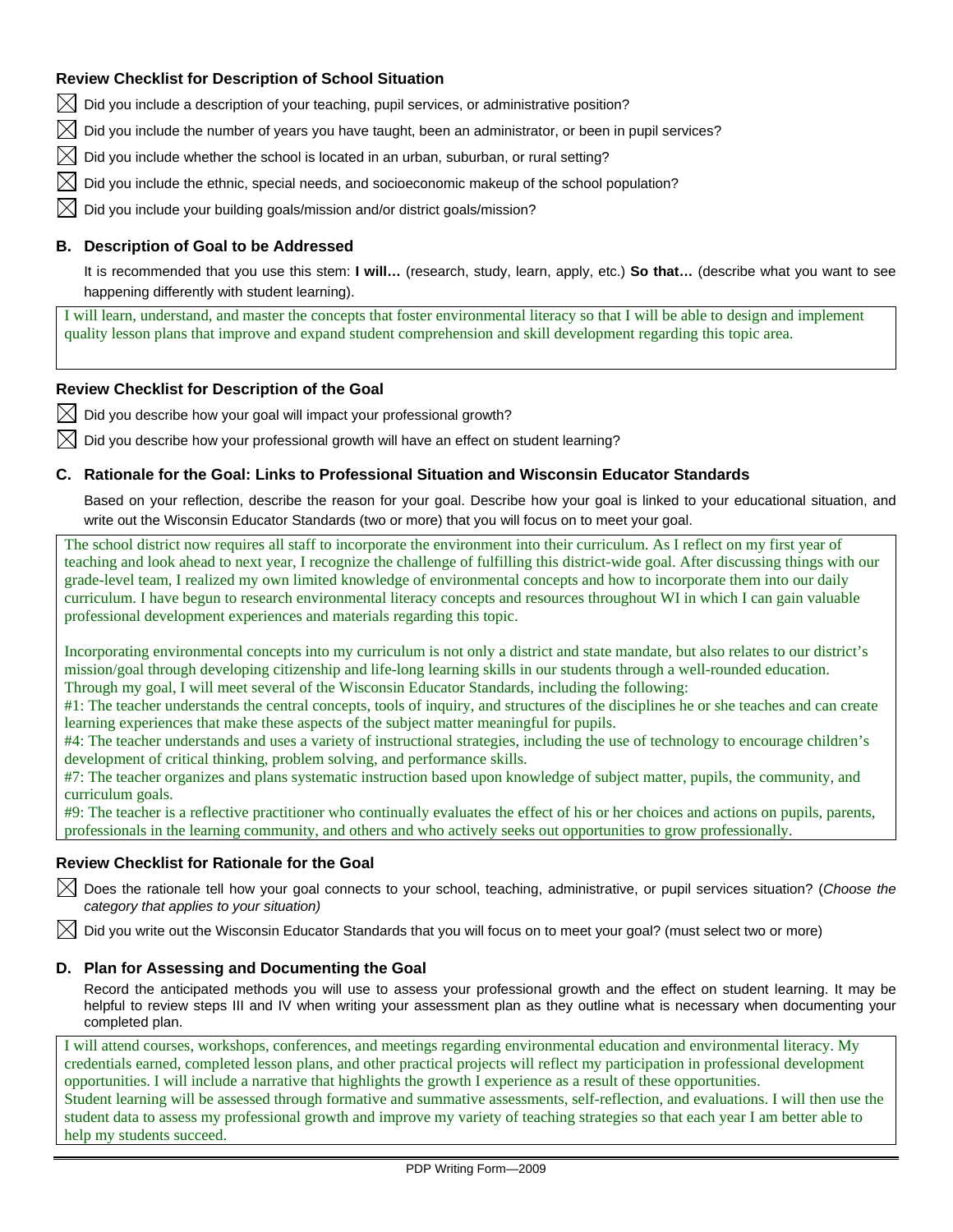# **Review Checklist for Description of School Situation**

 $\bowtie$  Did you include a description of your teaching, pupil services, or administrative position?

 $\boxtimes$  Did you include the number of years you have taught, been an administrator, or been in pupil services?

Did you include whether the school is located in an urban, suburban, or rural setting?

 $\boxtimes$  Did you include the ethnic, special needs, and socioeconomic makeup of the school population?

Did you include your building goals/mission and/or district goals/mission?

# **B. Description of Goal to be Addressed**

It is recommended that you use this stem: **I will…** (research, study, learn, apply, etc.) **So that…** (describe what you want to see happening differently with student learning).

I will learn, understand, and master the concepts that foster environmental literacy so that I will be able to design and implement quality lesson plans that improve and expand student comprehension and skill development regarding this topic area.

# **Review Checklist for Description of the Goal**

 $\boxtimes$  Did you describe how your goal will impact your professional growth?

Did you describe how your professional growth will have an effect on student learning?

# **C. Rationale for the Goal: Links to Professional Situation and Wisconsin Educator Standards**

Based on your reflection, describe the reason for your goal. Describe how your goal is linked to your educational situation, and write out the Wisconsin Educator Standards (two or more) that you will focus on to meet your goal.

The school district now requires all staff to incorporate the environment into their curriculum. As I reflect on my first year of teaching and look ahead to next year, I recognize the challenge of fulfilling this district-wide goal. After discussing things with our grade-level team, I realized my own limited knowledge of environmental concepts and how to incorporate them into our daily curriculum. I have begun to research environmental literacy concepts and resources throughout WI in which I can gain valuable professional development experiences and materials regarding this topic.

Incorporating environmental concepts into my curriculum is not only a district and state mandate, but also relates to our district's mission/goal through developing citizenship and life-long learning skills in our students through a well-rounded education. Through my goal, I will meet several of the Wisconsin Educator Standards, including the following:

#1: The teacher understands the central concepts, tools of inquiry, and structures of the disciplines he or she teaches and can create learning experiences that make these aspects of the subject matter meaningful for pupils.

#4: The teacher understands and uses a variety of instructional strategies, including the use of technology to encourage children's development of critical thinking, problem solving, and performance skills.

#7: The teacher organizes and plans systematic instruction based upon knowledge of subject matter, pupils, the community, and curriculum goals.

#9: The teacher is a reflective practitioner who continually evaluates the effect of his or her choices and actions on pupils, parents, professionals in the learning community, and others and who actively seeks out opportunities to grow professionally.

# **Review Checklist for Rationale for the Goal**

 Does the rationale tell how your goal connects to your school, teaching, administrative, or pupil services situation? (*Choose the category that applies to your situation)* 

 $\boxtimes$  Did you write out the Wisconsin Educator Standards that you will focus on to meet your goal? (must select two or more)

# **D. Plan for Assessing and Documenting the Goal**

Record the anticipated methods you will use to assess your professional growth and the effect on student learning. It may be helpful to review steps III and IV when writing your assessment plan as they outline what is necessary when documenting your completed plan.

I will attend courses, workshops, conferences, and meetings regarding environmental education and environmental literacy. My credentials earned, completed lesson plans, and other practical projects will reflect my participation in professional development opportunities. I will include a narrative that highlights the growth I experience as a result of these opportunities.

Student learning will be assessed through formative and summative assessments, self-reflection, and evaluations. I will then use the student data to assess my professional growth and improve my variety of teaching strategies so that each year I am better able to help my students succeed.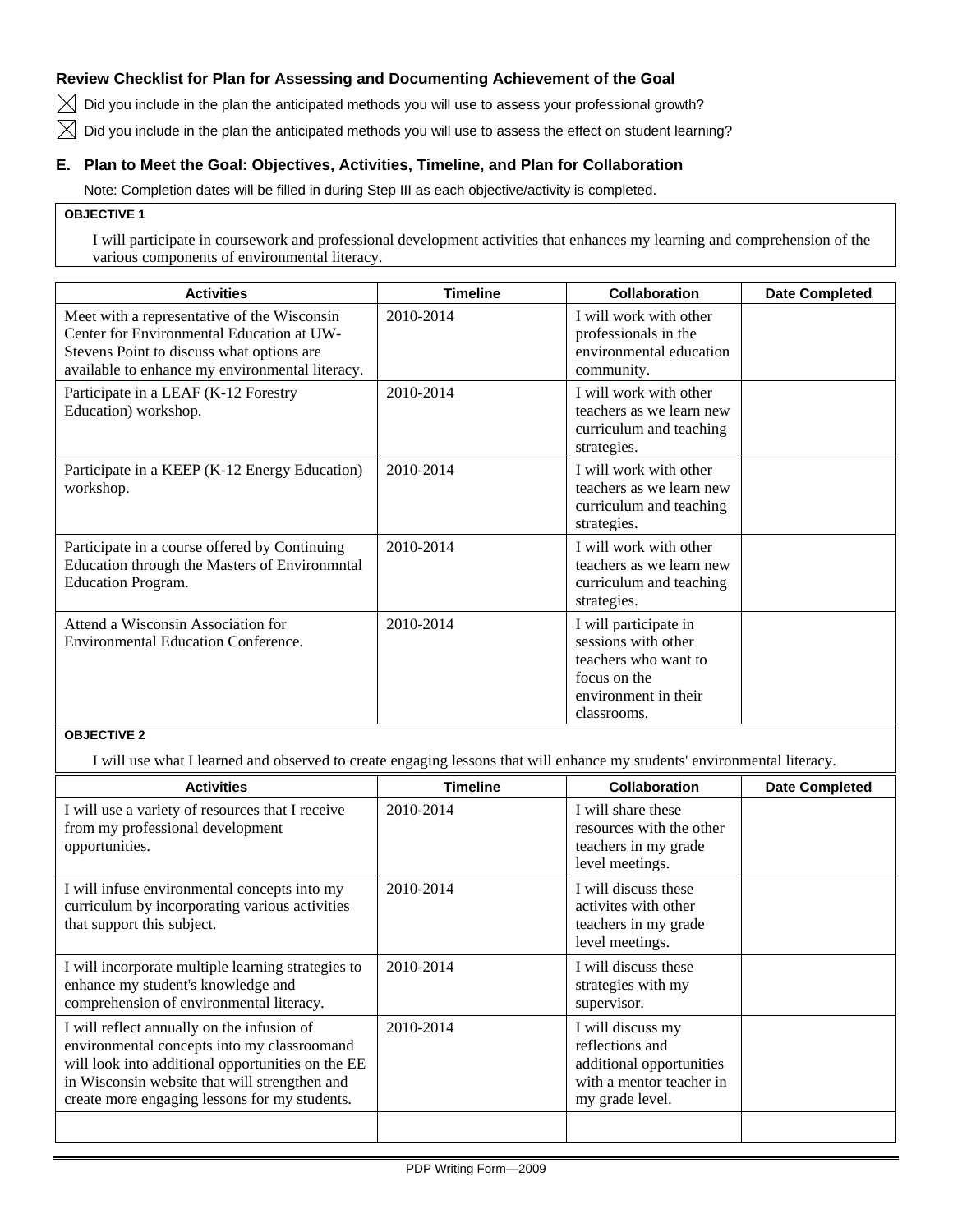# **Review Checklist for Plan for Assessing and Documenting Achievement of the Goal**

 $\boxtimes$  Did you include in the plan the anticipated methods you will use to assess your professional growth?

 $\boxtimes$  Did you include in the plan the anticipated methods you will use to assess the effect on student learning?

# **E. Plan to Meet the Goal: Objectives, Activities, Timeline, and Plan for Collaboration**

Note: Completion dates will be filled in during Step III as each objective/activity is completed.

### **OBJECTIVE 1**

I will participate in coursework and professional development activities that enhances my learning and comprehension of the various components of environmental literacy.

| <b>Activities</b>                                                                                                                                                                        | <b>Timeline</b> | <b>Collaboration</b>                                                                                                        | <b>Date Completed</b> |
|------------------------------------------------------------------------------------------------------------------------------------------------------------------------------------------|-----------------|-----------------------------------------------------------------------------------------------------------------------------|-----------------------|
| Meet with a representative of the Wisconsin<br>Center for Environmental Education at UW-<br>Stevens Point to discuss what options are<br>available to enhance my environmental literacy. | 2010-2014       | I will work with other<br>professionals in the<br>environmental education<br>community.                                     |                       |
| Participate in a LEAF (K-12 Forestry<br>Education) workshop.                                                                                                                             | 2010-2014       | I will work with other<br>teachers as we learn new<br>curriculum and teaching<br>strategies.                                |                       |
| Participate in a KEEP (K-12 Energy Education)<br>workshop.                                                                                                                               | 2010-2014       | I will work with other<br>teachers as we learn new<br>curriculum and teaching<br>strategies.                                |                       |
| Participate in a course offered by Continuing<br>Education through the Masters of Environmntal<br><b>Education Program.</b>                                                              | 2010-2014       | I will work with other<br>teachers as we learn new<br>curriculum and teaching<br>strategies.                                |                       |
| Attend a Wisconsin Association for<br><b>Environmental Education Conference.</b>                                                                                                         | 2010-2014       | I will participate in<br>sessions with other<br>teachers who want to<br>focus on the<br>environment in their<br>classrooms. |                       |

# **OBJECTIVE 2**

I will use what I learned and observed to create engaging lessons that will enhance my students' environmental literacy.

| <b>Activities</b>                                                                                                                                                                                                                                | <b>Timeline</b> | <b>Collaboration</b>                                                                                            | <b>Date Completed</b> |
|--------------------------------------------------------------------------------------------------------------------------------------------------------------------------------------------------------------------------------------------------|-----------------|-----------------------------------------------------------------------------------------------------------------|-----------------------|
| I will use a variety of resources that I receive<br>from my professional development<br>opportunities.                                                                                                                                           | 2010-2014       | I will share these<br>resources with the other<br>teachers in my grade<br>level meetings.                       |                       |
| I will infuse environmental concepts into my<br>curriculum by incorporating various activities<br>that support this subject.                                                                                                                     | 2010-2014       | I will discuss these<br>activites with other<br>teachers in my grade<br>level meetings.                         |                       |
| I will incorporate multiple learning strategies to<br>enhance my student's knowledge and<br>comprehension of environmental literacy.                                                                                                             | 2010-2014       | I will discuss these<br>strategies with my<br>supervisor.                                                       |                       |
| I will reflect annually on the infusion of<br>environmental concepts into my classroomand<br>will look into additional opportunities on the EE<br>in Wisconsin website that will strengthen and<br>create more engaging lessons for my students. | 2010-2014       | I will discuss my<br>reflections and<br>additional opportunities<br>with a mentor teacher in<br>my grade level. |                       |
|                                                                                                                                                                                                                                                  |                 |                                                                                                                 |                       |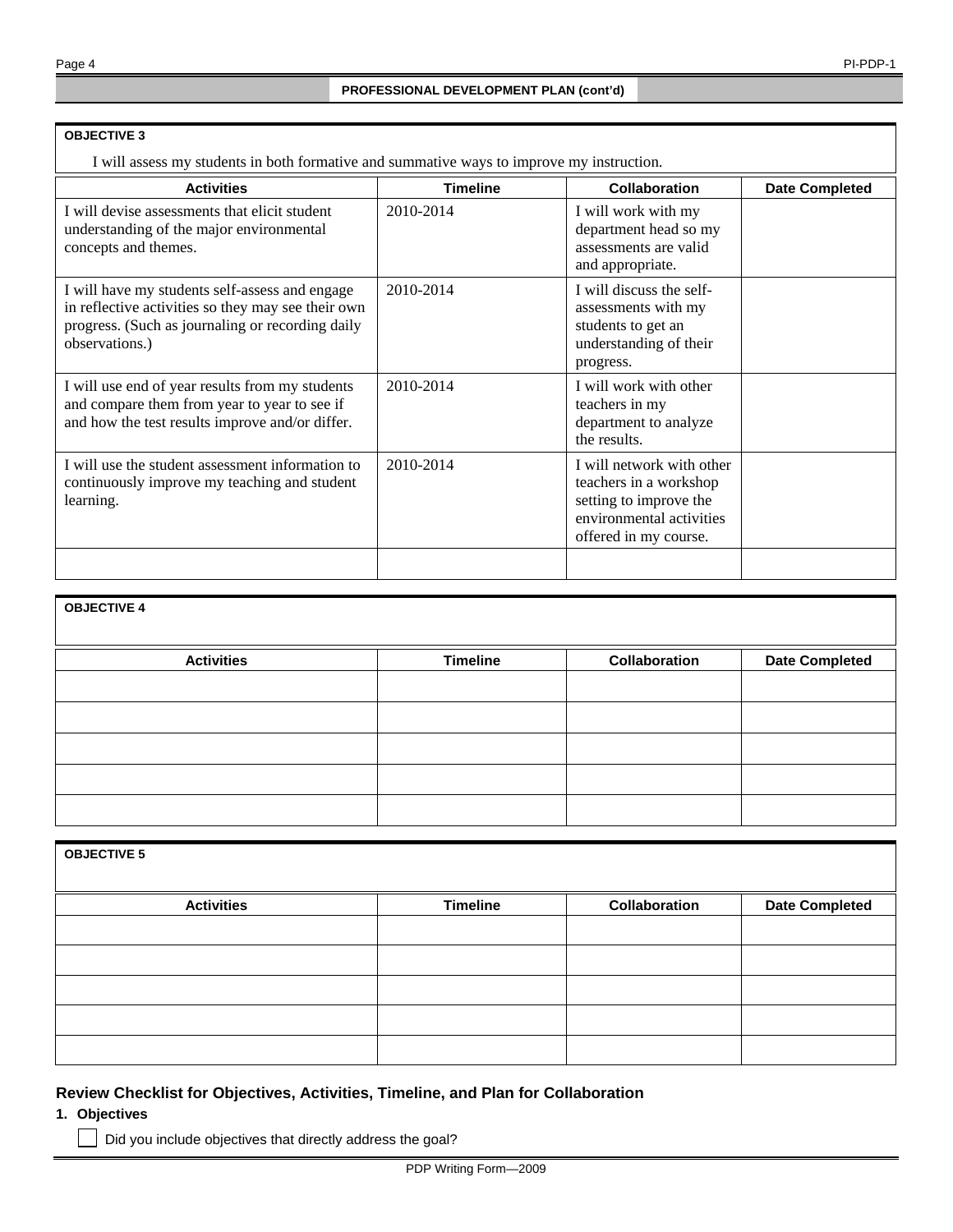#### **OBJECTIVE 3**

I will assess my students in both formative and summative ways to improve my instruction.

| <b>Activities</b>                                                                                                                                                          | <b>Timeline</b> | <b>Collaboration</b>                                                                                                               | <b>Date Completed</b> |
|----------------------------------------------------------------------------------------------------------------------------------------------------------------------------|-----------------|------------------------------------------------------------------------------------------------------------------------------------|-----------------------|
| I will devise assessments that elicit student<br>understanding of the major environmental<br>concepts and themes.                                                          | 2010-2014       | I will work with my<br>department head so my<br>assessments are valid<br>and appropriate.                                          |                       |
| I will have my students self-assess and engage<br>in reflective activities so they may see their own<br>progress. (Such as journaling or recording daily<br>observations.) | 2010-2014       | I will discuss the self-<br>assessments with my<br>students to get an<br>understanding of their<br>progress.                       |                       |
| I will use end of year results from my students<br>and compare them from year to year to see if<br>and how the test results improve and/or differ.                         | 2010-2014       | I will work with other<br>teachers in my<br>department to analyze<br>the results.                                                  |                       |
| I will use the student assessment information to<br>continuously improve my teaching and student<br>learning.                                                              | 2010-2014       | I will network with other<br>teachers in a workshop<br>setting to improve the<br>environmental activities<br>offered in my course. |                       |
|                                                                                                                                                                            |                 |                                                                                                                                    |                       |

| <b>OBJECTIVE 4</b> |                 |               |                       |
|--------------------|-----------------|---------------|-----------------------|
| <b>Activities</b>  | <b>Timeline</b> | Collaboration | <b>Date Completed</b> |
|                    |                 |               |                       |
|                    |                 |               |                       |
|                    |                 |               |                       |
|                    |                 |               |                       |
|                    |                 |               |                       |

| <b>OBJECTIVE 5</b> |                 |               |                       |
|--------------------|-----------------|---------------|-----------------------|
| <b>Activities</b>  | <b>Timeline</b> | Collaboration | <b>Date Completed</b> |
|                    |                 |               |                       |
|                    |                 |               |                       |
|                    |                 |               |                       |
|                    |                 |               |                       |
|                    |                 |               |                       |

# **Review Checklist for Objectives, Activities, Timeline, and Plan for Collaboration**

**1. Objectives** 

Did you include objectives that directly address the goal?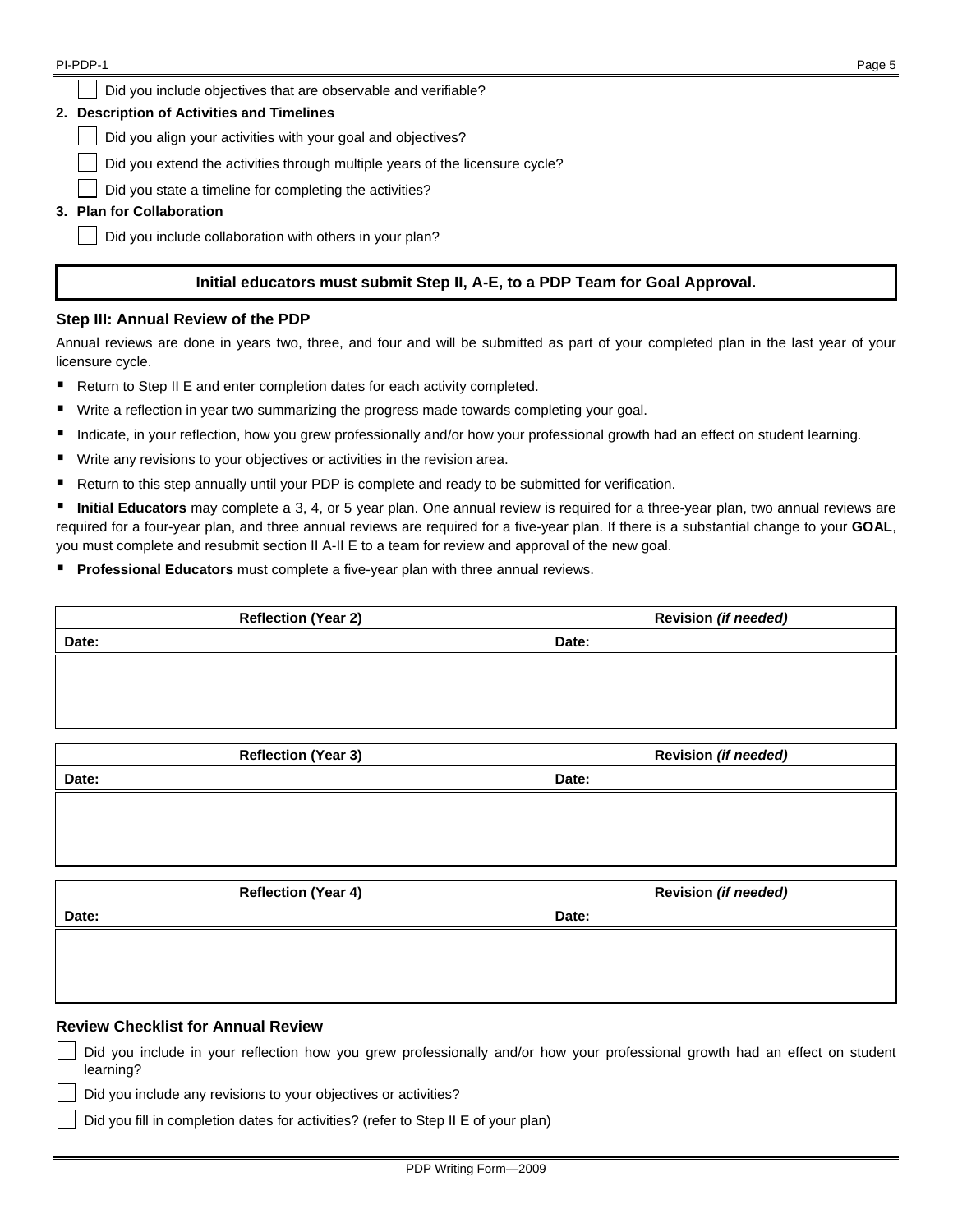Did you include objectives that are observable and verifiable?

#### **2. Description of Activities and Timelines**

Did you align your activities with your goal and objectives?

Did you extend the activities through multiple years of the licensure cycle?

Did you state a timeline for completing the activities?

# **3. Plan for Collaboration**

Did you include collaboration with others in your plan?

# **Initial educators must submit Step II, A-E, to a PDP Team for Goal Approval.**

# **Step III: Annual Review of the PDP**

Annual reviews are done in years two, three, and four and will be submitted as part of your completed plan in the last year of your licensure cycle.

- Return to Step II E and enter completion dates for each activity completed.
- Write a reflection in year two summarizing the progress made towards completing your goal.
- Indicate, in your reflection, how you grew professionally and/or how your professional growth had an effect on student learning.
- Write any revisions to your objectives or activities in the revision area.
- Return to this step annually until your PDP is complete and ready to be submitted for verification.

 **Initial Educators** may complete a 3, 4, or 5 year plan. One annual review is required for a three-year plan, two annual reviews are required for a four-year plan, and three annual reviews are required for a five-year plan. If there is a substantial change to your **GOAL**, you must complete and resubmit section II A-II E to a team for review and approval of the new goal.

**Professional Educators** must complete a five-year plan with three annual reviews.

| <b>Reflection (Year 2)</b> | Revision (if needed) |
|----------------------------|----------------------|
| Date:                      | Date:                |
|                            |                      |
|                            |                      |
|                            |                      |

| <b>Reflection (Year 3)</b> | Revision (if needed) |
|----------------------------|----------------------|
| Date:                      | Date:                |
|                            |                      |
|                            |                      |
|                            |                      |

| <b>Reflection (Year 4)</b> | Revision (if needed) |
|----------------------------|----------------------|
| Date:                      | Date:                |
|                            |                      |
|                            |                      |
|                            |                      |

# **Review Checklist for Annual Review**

 Did you include in your reflection how you grew professionally and/or how your professional growth had an effect on student learning?

Did you include any revisions to your objectives or activities?

Did you fill in completion dates for activities? (refer to Step II E of your plan)